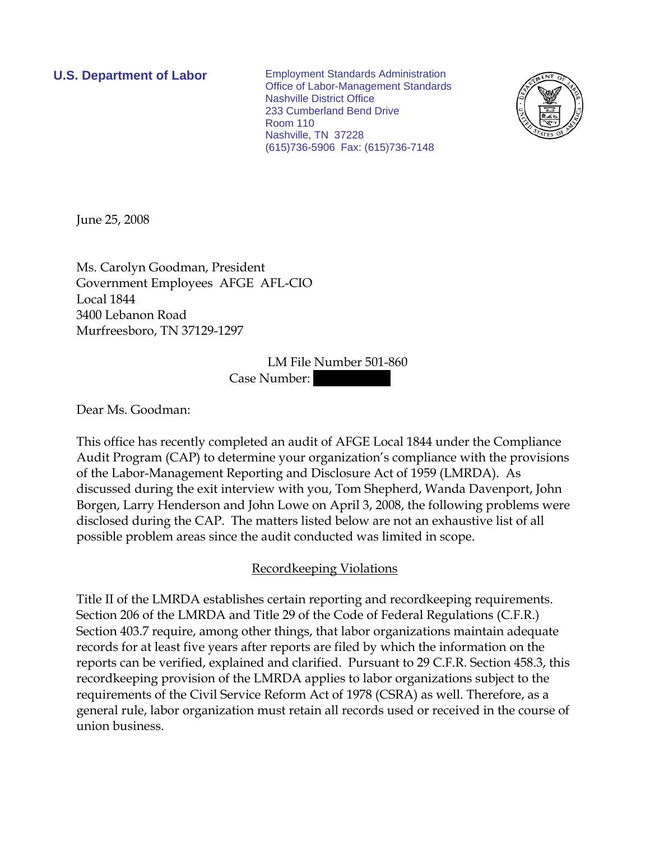**U.S. Department of Labor** Employment Standards Administration Office of Labor-Management Standards Nashville District Office 233 Cumberland Bend Drive Room 110 Nashville, TN 37228 (615)736-5906 Fax: (615)736-7148



June 25, 2008

Ms. Carolyn Goodman, President Government Employees AFGE AFL-CIO Local 1844 3400 Lebanon Road Murfreesboro, TN 37129-1297

> LM File Number 501-860 Case Number:

Dear Ms. Goodman:

This office has recently completed an audit of AFGE Local 1844 under the Compliance Audit Program (CAP) to determine your organization's compliance with the provisions of the Labor-Management Reporting and Disclosure Act of 1959 (LMRDA). As discussed during the exit interview with you, Tom Shepherd, Wanda Davenport, John Borgen, Larry Henderson and John Lowe on April 3, 2008, the following problems were disclosed during the CAP. The matters listed below are not an exhaustive list of all possible problem areas since the audit conducted was limited in scope.

## Recordkeeping Violations

Title II of the LMRDA establishes certain reporting and recordkeeping requirements. Section 206 of the LMRDA and Title 29 of the Code of Federal Regulations (C.F.R.) Section 403.7 require, among other things, that labor organizations maintain adequate records for at least five years after reports are filed by which the information on the reports can be verified, explained and clarified. Pursuant to 29 C.F.R. Section 458.3, this recordkeeping provision of the LMRDA applies to labor organizations subject to the requirements of the Civil Service Reform Act of 1978 (CSRA) as well. Therefore, as a general rule, labor organization must retain all records used or received in the course of union business.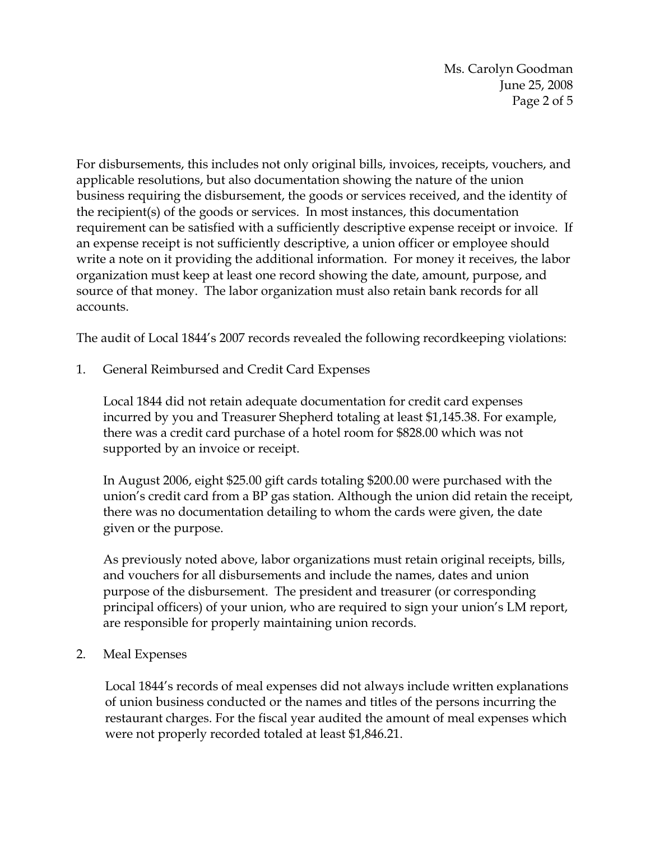Ms. Carolyn Goodman June 25, 2008 Page 2 of 5

For disbursements, this includes not only original bills, invoices, receipts, vouchers, and applicable resolutions, but also documentation showing the nature of the union business requiring the disbursement, the goods or services received, and the identity of the recipient(s) of the goods or services. In most instances, this documentation requirement can be satisfied with a sufficiently descriptive expense receipt or invoice. If an expense receipt is not sufficiently descriptive, a union officer or employee should write a note on it providing the additional information. For money it receives, the labor organization must keep at least one record showing the date, amount, purpose, and source of that money. The labor organization must also retain bank records for all accounts.

The audit of Local 1844's 2007 records revealed the following recordkeeping violations:

1. General Reimbursed and Credit Card Expenses

Local 1844 did not retain adequate documentation for credit card expenses incurred by you and Treasurer Shepherd totaling at least \$1,145.38. For example, there was a credit card purchase of a hotel room for \$828.00 which was not supported by an invoice or receipt.

In August 2006, eight \$25.00 gift cards totaling \$200.00 were purchased with the union's credit card from a BP gas station. Although the union did retain the receipt, there was no documentation detailing to whom the cards were given, the date given or the purpose.

As previously noted above, labor organizations must retain original receipts, bills, and vouchers for all disbursements and include the names, dates and union purpose of the disbursement. The president and treasurer (or corresponding principal officers) of your union, who are required to sign your union's LM report, are responsible for properly maintaining union records.

2. Meal Expenses

Local 1844's records of meal expenses did not always include written explanations of union business conducted or the names and titles of the persons incurring the restaurant charges. For the fiscal year audited the amount of meal expenses which were not properly recorded totaled at least \$1,846.21.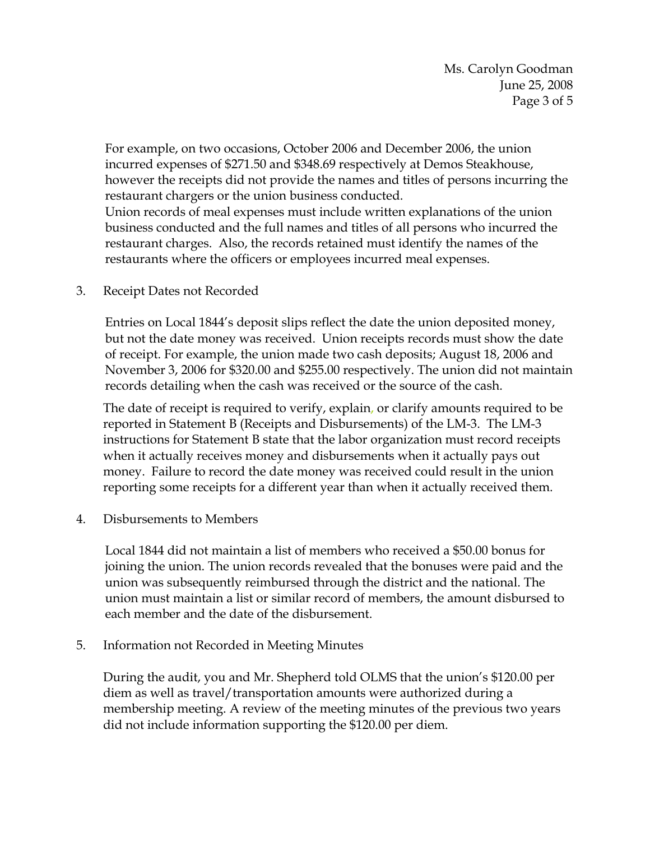For example, on two occasions, October 2006 and December 2006, the union incurred expenses of \$271.50 and \$348.69 respectively at Demos Steakhouse, however the receipts did not provide the names and titles of persons incurring the restaurant chargers or the union business conducted.

Union records of meal expenses must include written explanations of the union business conducted and the full names and titles of all persons who incurred the restaurant charges. Also, the records retained must identify the names of the restaurants where the officers or employees incurred meal expenses.

3. Receipt Dates not Recorded

Entries on Local 1844's deposit slips reflect the date the union deposited money, but not the date money was received. Union receipts records must show the date of receipt. For example, the union made two cash deposits; August 18, 2006 and November 3, 2006 for \$320.00 and \$255.00 respectively. The union did not maintain records detailing when the cash was received or the source of the cash.

The date of receipt is required to verify, explain, or clarify amounts required to be reported in Statement B (Receipts and Disbursements) of the LM-3. The LM-3 instructions for Statement B state that the labor organization must record receipts when it actually receives money and disbursements when it actually pays out money. Failure to record the date money was received could result in the union reporting some receipts for a different year than when it actually received them.

4. Disbursements to Members

Local 1844 did not maintain a list of members who received a \$50.00 bonus for joining the union. The union records revealed that the bonuses were paid and the union was subsequently reimbursed through the district and the national. The union must maintain a list or similar record of members, the amount disbursed to each member and the date of the disbursement.

5. Information not Recorded in Meeting Minutes

During the audit, you and Mr. Shepherd told OLMS that the union's \$120.00 per diem as well as travel/transportation amounts were authorized during a membership meeting. A review of the meeting minutes of the previous two years did not include information supporting the \$120.00 per diem.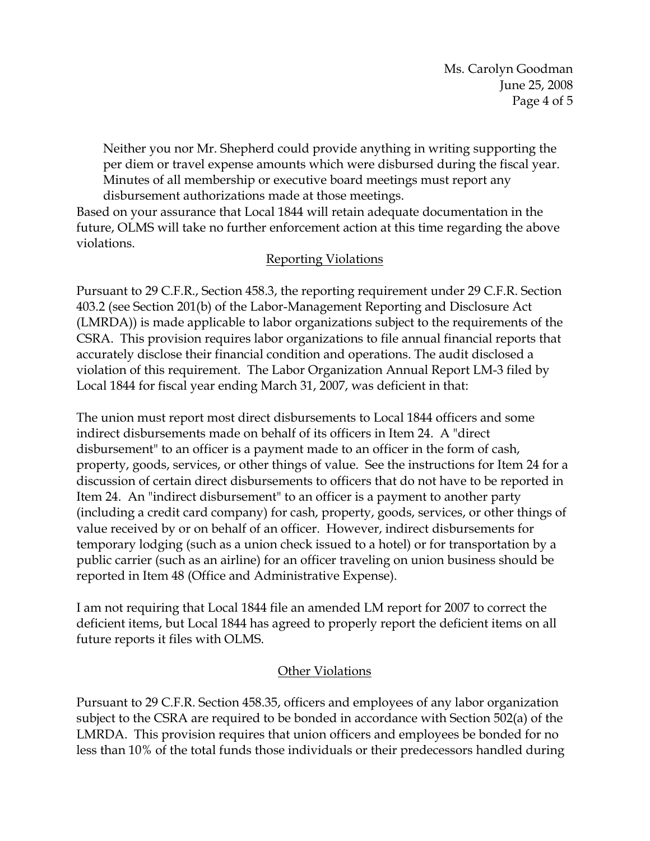Neither you nor Mr. Shepherd could provide anything in writing supporting the per diem or travel expense amounts which were disbursed during the fiscal year. Minutes of all membership or executive board meetings must report any disbursement authorizations made at those meetings.

Based on your assurance that Local 1844 will retain adequate documentation in the future, OLMS will take no further enforcement action at this time regarding the above violations.

## Reporting Violations

Pursuant to 29 C.F.R., Section 458.3, the reporting requirement under 29 C.F.R. Section 403.2 (see Section 201(b) of the Labor-Management Reporting and Disclosure Act (LMRDA)) is made applicable to labor organizations subject to the requirements of the CSRA. This provision requires labor organizations to file annual financial reports that accurately disclose their financial condition and operations. The audit disclosed a violation of this requirement. The Labor Organization Annual Report LM-3 filed by Local 1844 for fiscal year ending March 31, 2007, was deficient in that:

The union must report most direct disbursements to Local 1844 officers and some indirect disbursements made on behalf of its officers in Item 24. A "direct disbursement" to an officer is a payment made to an officer in the form of cash, property, goods, services, or other things of value. See the instructions for Item 24 for a discussion of certain direct disbursements to officers that do not have to be reported in Item 24. An "indirect disbursement" to an officer is a payment to another party (including a credit card company) for cash, property, goods, services, or other things of value received by or on behalf of an officer. However, indirect disbursements for temporary lodging (such as a union check issued to a hotel) or for transportation by a public carrier (such as an airline) for an officer traveling on union business should be reported in Item 48 (Office and Administrative Expense).

I am not requiring that Local 1844 file an amended LM report for 2007 to correct the deficient items, but Local 1844 has agreed to properly report the deficient items on all future reports it files with OLMS.

## Other Violations

Pursuant to 29 C.F.R. Section 458.35, officers and employees of any labor organization subject to the CSRA are required to be bonded in accordance with Section 502(a) of the LMRDA. This provision requires that union officers and employees be bonded for no less than 10% of the total funds those individuals or their predecessors handled during